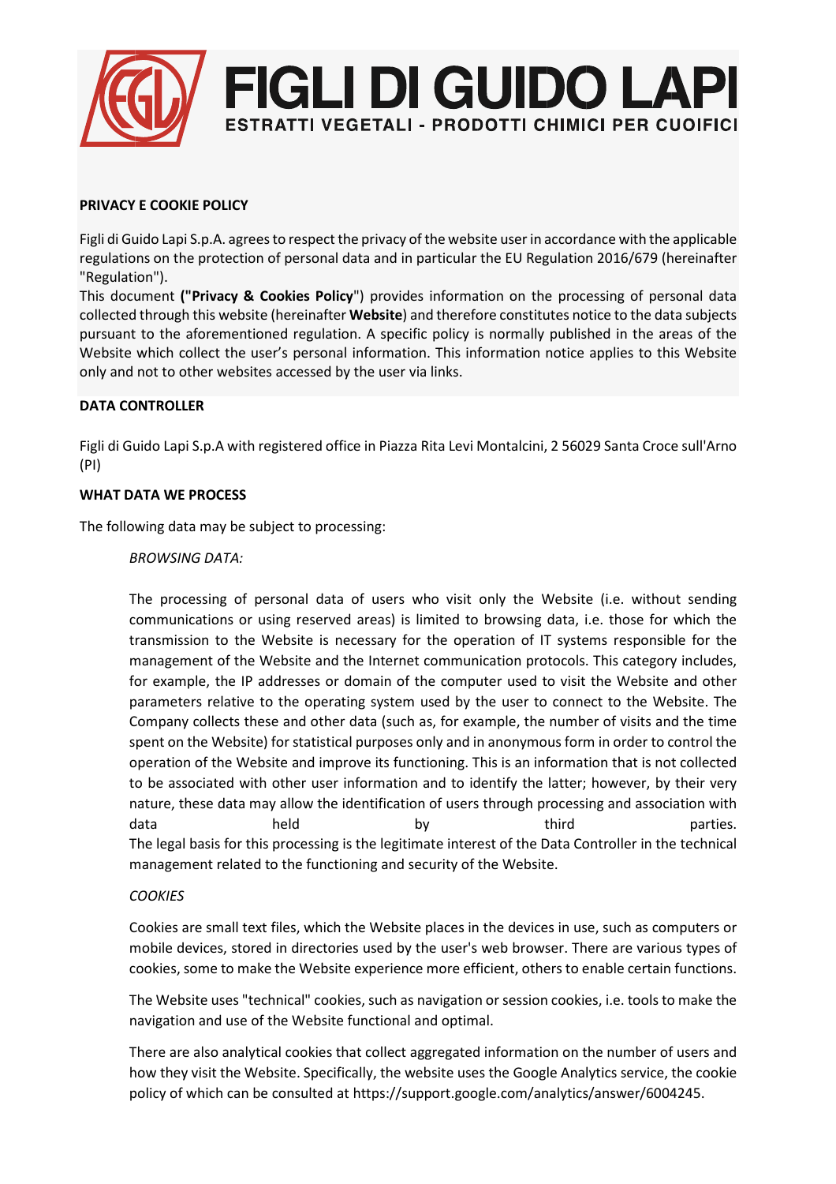

# **PRIVACY E COOKIE POLICY**

Figli di Guido Lapi S.p.A. agrees to respect the privacy of the website user in accordance with the applicable regulations on the protection of personal data and in particular the EU Regulation 2016/679 (hereinafter "Regulation").

This document **("Privacy & Cookies Policy**") provides information on the processing of personal data collected through this website (hereinafter **Website**) and therefore constitutes notice to the data subjects pursuant to the aforementioned regulation. A specific policy is normally published in the areas of the Website which collect the user's personal information. This information notice applies to this Website only and not to other websites accessed by the user via links.

# **DATA CONTROLLER**

Figli di Guido Lapi S.p.A with registered office in Piazza Rita Levi Montalcini, 2 56029 Santa Croce sull'Arno (PI)

#### **WHAT DATA WE PROCESS**

The following data may be subject to processing:

### *BROWSING DATA:*

The processing of personal data of users who visit only the Website (i.e. without sending communications or using reserved areas) is limited to browsing data, i.e. those for which the transmission to the Website is necessary for the operation of IT systems responsible for the management of the Website and the Internet communication protocols. This category includes, for example, the IP addresses or domain of the computer used to visit the Website and other parameters relative to the operating system used by the user to connect to the Website. The Company collects these and other data (such as, for example, the number of visits and the time spent on the Website) for statistical purposes only and in anonymous form in order to control the operation of the Website and improve its functioning. This is an information that is not collected to be associated with other user information and to identify the latter; however, by their very nature, these data may allow the identification of users through processing and association with data held by third parties. The legal basis for this processing is the legitimate interest of the Data Controller in the technical management related to the functioning and security of the Website.

# *COOKIES*

Cookies are small text files, which the Website places in the devices in use, such as computers or mobile devices, stored in directories used by the user's web browser. There are various types of cookies, some to make the Website experience more efficient, others to enable certain functions.

The Website uses "technical" cookies, such as navigation or session cookies, i.e. tools to make the navigation and use of the Website functional and optimal.

There are also analytical cookies that collect aggregated information on the number of users and how they visit the Website. Specifically, the website uses the Google Analytics service, the cookie policy of which can be consulted at https://support.google.com/analytics/answer/6004245.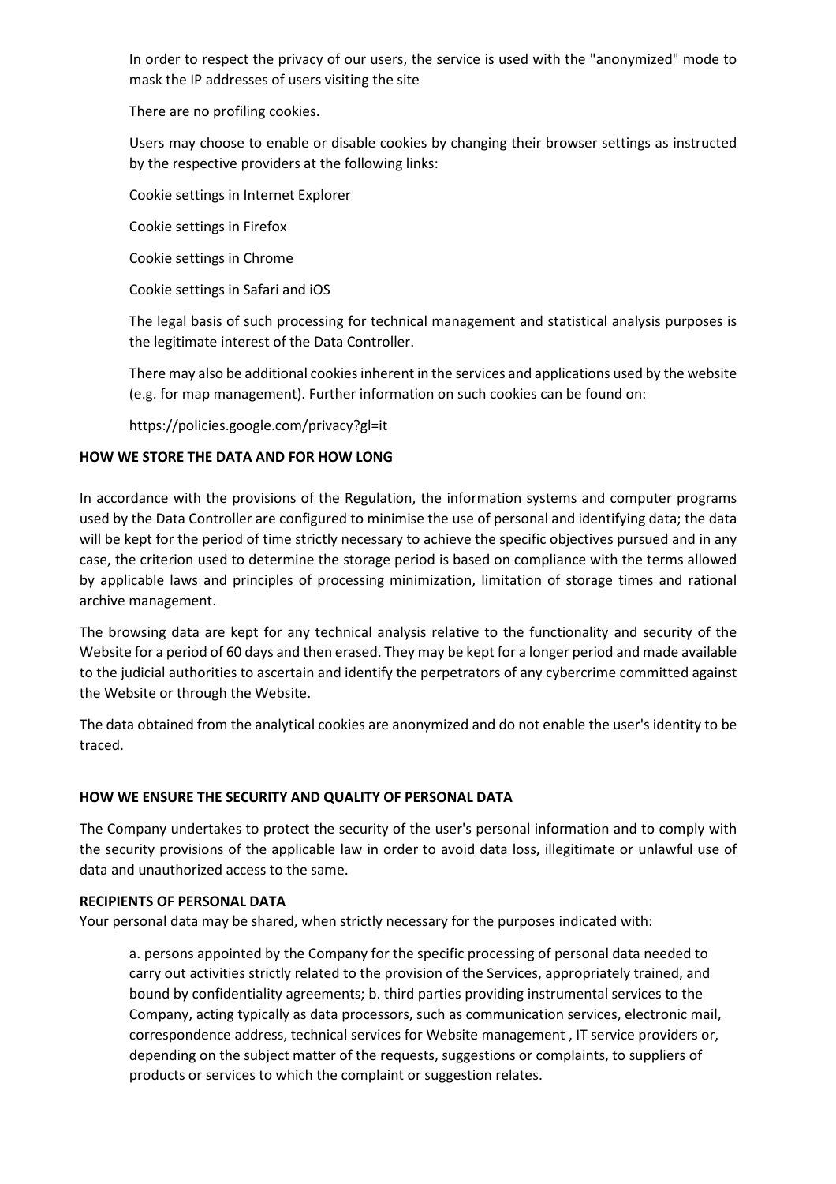In order to respect the privacy of our users, the service is used with the "anonymized" mode to mask the IP addresses of users visiting the site

There are no profiling cookies.

Users may choose to enable or disable cookies by changing their browser settings as instructed by the respective providers at the following links:

Cookie settings in Internet Explorer

Cookie settings in Firefox

Cookie settings in Chrome

Cookie settings in Safari and iOS

The legal basis of such processing for technical management and statistical analysis purposes is the legitimate interest of the Data Controller.

There may also be additional cookies inherent in the services and applications used by the website (e.g. for map management). Further information on such cookies can be found on:

https://policies.google.com/privacy?gl=it

### **HOW WE STORE THE DATA AND FOR HOW LONG**

In accordance with the provisions of the Regulation, the information systems and computer programs used by the Data Controller are configured to minimise the use of personal and identifying data; the data will be kept for the period of time strictly necessary to achieve the specific objectives pursued and in any case, the criterion used to determine the storage period is based on compliance with the terms allowed by applicable laws and principles of processing minimization, limitation of storage times and rational archive management.

The browsing data are kept for any technical analysis relative to the functionality and security of the Website for a period of 60 days and then erased. They may be kept for a longer period and made available to the judicial authorities to ascertain and identify the perpetrators of any cybercrime committed against the Website or through the Website.

The data obtained from the analytical cookies are anonymized and do not enable the user's identity to be traced.

#### **HOW WE ENSURE THE SECURITY AND QUALITY OF PERSONAL DATA**

The Company undertakes to protect the security of the user's personal information and to comply with the security provisions of the applicable law in order to avoid data loss, illegitimate or unlawful use of data and unauthorized access to the same.

#### **RECIPIENTS OF PERSONAL DATA**

Your personal data may be shared, when strictly necessary for the purposes indicated with:

a. persons appointed by the Company for the specific processing of personal data needed to carry out activities strictly related to the provision of the Services, appropriately trained, and bound by confidentiality agreements; b. third parties providing instrumental services to the Company, acting typically as data processors, such as communication services, electronic mail, correspondence address, technical services for Website management , IT service providers or, depending on the subject matter of the requests, suggestions or complaints, to suppliers of products or services to which the complaint or suggestion relates.